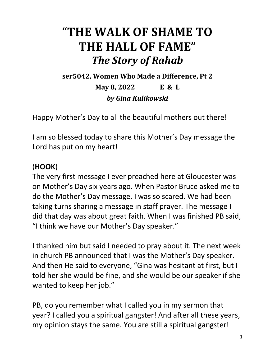## **"THE WALK OF SHAME TO THE HALL OF FAME"** *The Story of Rahab*

**ser5042, Women Who Made a Difference, Pt 2**

**May 8, 2022 E & L** *by Gina Kulikowski*

Happy Mother's Day to all the beautiful mothers out there!

I am so blessed today to share this Mother's Day message the Lord has put on my heart!

## (**HOOK**)

The very first message I ever preached here at Gloucester was on Mother's Day six years ago. When Pastor Bruce asked me to do the Mother's Day message, I was so scared. We had been taking turns sharing a message in staff prayer. The message I did that day was about great faith. When I was finished PB said, "I think we have our Mother's Day speaker."

I thanked him but said I needed to pray about it. The next week in church PB announced that I was the Mother's Day speaker. And then He said to everyone, "Gina was hesitant at first, but I told her she would be fine, and she would be our speaker if she wanted to keep her job."

PB, do you remember what I called you in my sermon that year? I called you a spiritual gangster! And after all these years, my opinion stays the same. You are still a spiritual gangster!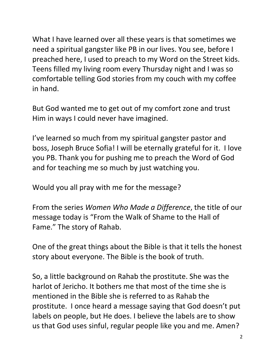What I have learned over all these years is that sometimes we need a spiritual gangster like PB in our lives. You see, before I preached here, I used to preach to my Word on the Street kids. Teens filled my living room every Thursday night and I was so comfortable telling God stories from my couch with my coffee in hand.

But God wanted me to get out of my comfort zone and trust Him in ways I could never have imagined.

I've learned so much from my spiritual gangster pastor and boss, Joseph Bruce Sofia! I will be eternally grateful for it. I love you PB. Thank you for pushing me to preach the Word of God and for teaching me so much by just watching you.

Would you all pray with me for the message?

From the series *Women Who Made a Difference*, the title of our message today is "From the Walk of Shame to the Hall of Fame." The story of Rahab.

One of the great things about the Bible is that it tells the honest story about everyone. The Bible is the book of truth.

So, a little background on Rahab the prostitute. She was the harlot of Jericho. It bothers me that most of the time she is mentioned in the Bible she is referred to as Rahab the prostitute. I once heard a message saying that God doesn't put labels on people, but He does. I believe the labels are to show us that God uses sinful, regular people like you and me. Amen?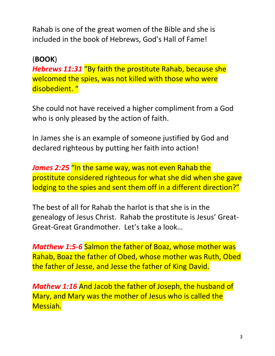Rahab is one of the great women of the Bible and she is included in the book of Hebrews, God's Hall of Fame!

## (**BOOK**)

*Hebrews 11:31* "By faith the prostitute Rahab, because she welcomed the spies, was not killed with those who were disobedient. "

She could not have received a higher compliment from a God who is only pleased by the action of faith.

In James she is an example of someone justified by God and declared righteous by putting her faith into action!

James 2:25 "In the same way, was not even Rahab the prostitute considered righteous for what she did when she gave lodging to the spies and sent them off in a different direction?"

The best of all for Rahab the harlot is that she is in the genealogy of Jesus Christ. Rahab the prostitute is Jesus' Great-Great-Great Grandmother. Let's take a look…

*Matthew 1:5-6* Salmon the father of Boaz, whose mother was Rahab, Boaz the father of Obed, whose mother was Ruth, Obed the father of Jesse, and Jesse the father of King David.

*Mathew 1:16* And Jacob the father of Joseph, the husband of Mary, and Mary was the mother of Jesus who is called the Messiah.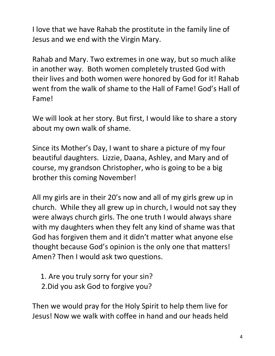I love that we have Rahab the prostitute in the family line of Jesus and we end with the Virgin Mary.

Rahab and Mary. Two extremes in one way, but so much alike in another way. Both women completely trusted God with their lives and both women were honored by God for it! Rahab went from the walk of shame to the Hall of Fame! God's Hall of Fame!

We will look at her story. But first, I would like to share a story about my own walk of shame.

Since its Mother's Day, I want to share a picture of my four beautiful daughters. Lizzie, Daana, Ashley, and Mary and of course, my grandson Christopher, who is going to be a big brother this coming November!

All my girls are in their 20's now and all of my girls grew up in church. While they all grew up in church, I would not say they were always church girls. The one truth I would always share with my daughters when they felt any kind of shame was that God has forgiven them and it didn't matter what anyone else thought because God's opinion is the only one that matters! Amen? Then I would ask two questions.

1. Are you truly sorry for your sin?

2.Did you ask God to forgive you?

Then we would pray for the Holy Spirit to help them live for Jesus! Now we walk with coffee in hand and our heads held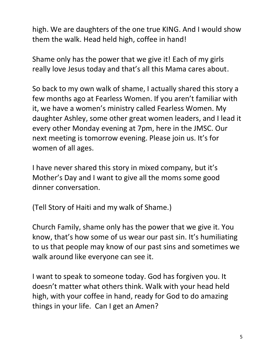high. We are daughters of the one true KING. And I would show them the walk. Head held high, coffee in hand!

Shame only has the power that we give it! Each of my girls really love Jesus today and that's all this Mama cares about.

So back to my own walk of shame, I actually shared this story a few months ago at Fearless Women. If you aren't familiar with it, we have a women's ministry called Fearless Women. My daughter Ashley, some other great women leaders, and I lead it every other Monday evening at 7pm, here in the JMSC. Our next meeting is tomorrow evening. Please join us. It's for women of all ages.

I have never shared this story in mixed company, but it's Mother's Day and I want to give all the moms some good dinner conversation.

(Tell Story of Haiti and my walk of Shame.)

Church Family, shame only has the power that we give it. You know, that's how some of us wear our past sin. It's humiliating to us that people may know of our past sins and sometimes we walk around like everyone can see it.

I want to speak to someone today. God has forgiven you. It doesn't matter what others think. Walk with your head held high, with your coffee in hand, ready for God to do amazing things in your life. Can I get an Amen?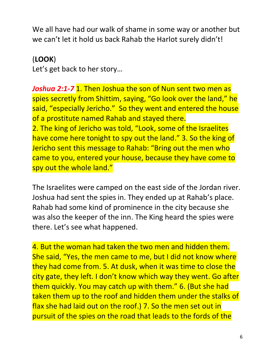We all have had our walk of shame in some way or another but we can't let it hold us back Rahab the Harlot surely didn't!

(**LOOK**)

Let's get back to her story…

*Joshua 2:1-7* 1. Then Joshua the son of Nun sent two men as spies secretly from Shittim, saying, "Go look over the land," he said, "especially Jericho." So they went and entered the house of a prostitute named Rahab and stayed there. 2. The king of Jericho was told, "Look, some of the Israelites have come here tonight to spy out the land." 3. So the king of Jericho sent this message to Rahab: "Bring out the men who came to you, entered your house, because they have come to spy out the whole land."

The Israelites were camped on the east side of the Jordan river. Joshua had sent the spies in. They ended up at Rahab's place. Rahab had some kind of prominence in the city because she was also the keeper of the inn. The King heard the spies were there. Let's see what happened.

4. But the woman had taken the two men and hidden them. She said, "Yes, the men came to me, but I did not know where they had come from. 5. At dusk, when it was time to close the city gate, they left. I don't know which way they went. Go after them quickly. You may catch up with them." 6. (But she had taken them up to the roof and hidden them under the stalks of flax she had laid out on the roof.) 7. So the men set out in pursuit of the spies on the road that leads to the fords of the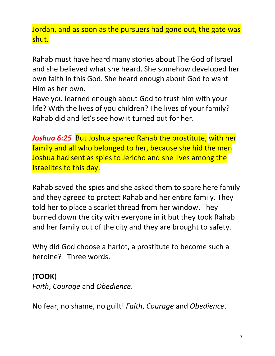Jordan, and as soon as the pursuers had gone out, the gate was shut.

Rahab must have heard many stories about The God of Israel and she believed what she heard. She somehow developed her own faith in this God. She heard enough about God to want Him as her own.

Have you learned enough about God to trust him with your life? With the lives of you children? The lives of your family? Rahab did and let's see how it turned out for her.

*Joshua 6:25* But Joshua spared Rahab the prostitute, with her family and all who belonged to her, because she hid the men Joshua had sent as spies to Jericho and she lives among the Israelites to this day.

Rahab saved the spies and she asked them to spare here family and they agreed to protect Rahab and her entire family. They told her to place a scarlet thread from her window. They burned down the city with everyone in it but they took Rahab and her family out of the city and they are brought to safety.

Why did God choose a harlot, a prostitute to become such a heroine? Three words.

## (**TOOK**)

*Faith*, *Courage* and *Obedience*.

No fear, no shame, no guilt! *Faith*, *Courage* and *Obedience*.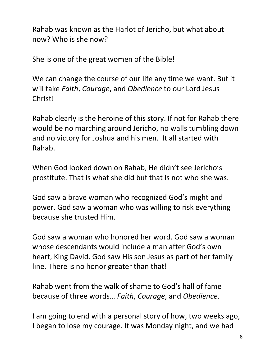Rahab was known as the Harlot of Jericho, but what about now? Who is she now?

She is one of the great women of the Bible!

We can change the course of our life any time we want. But it will take *Faith*, *Courage*, and *Obedience* to our Lord Jesus Christ!

Rahab clearly is the heroine of this story. If not for Rahab there would be no marching around Jericho, no walls tumbling down and no victory for Joshua and his men. It all started with Rahab.

When God looked down on Rahab, He didn't see Jericho's prostitute. That is what she did but that is not who she was.

God saw a brave woman who recognized God's might and power. God saw a woman who was willing to risk everything because she trusted Him.

God saw a woman who honored her word. God saw a woman whose descendants would include a man after God's own heart, King David. God saw His son Jesus as part of her family line. There is no honor greater than that!

Rahab went from the walk of shame to God's hall of fame because of three words… *Faith*, *Courage*, and *Obedience*.

I am going to end with a personal story of how, two weeks ago, I began to lose my courage. It was Monday night, and we had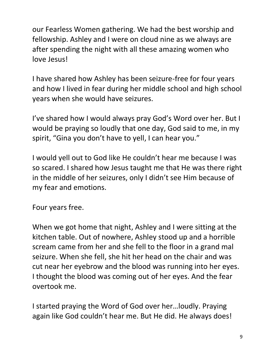our Fearless Women gathering. We had the best worship and fellowship. Ashley and I were on cloud nine as we always are after spending the night with all these amazing women who love Jesus!

I have shared how Ashley has been seizure-free for four years and how I lived in fear during her middle school and high school years when she would have seizures.

I've shared how I would always pray God's Word over her. But I would be praying so loudly that one day, God said to me, in my spirit, "Gina you don't have to yell, I can hear you."

I would yell out to God like He couldn't hear me because I was so scared. I shared how Jesus taught me that He was there right in the middle of her seizures, only I didn't see Him because of my fear and emotions.

Four years free.

When we got home that night, Ashley and I were sitting at the kitchen table. Out of nowhere, Ashley stood up and a horrible scream came from her and she fell to the floor in a grand mal seizure. When she fell, she hit her head on the chair and was cut near her eyebrow and the blood was running into her eyes. I thought the blood was coming out of her eyes. And the fear overtook me.

I started praying the Word of God over her…loudly. Praying again like God couldn't hear me. But He did. He always does!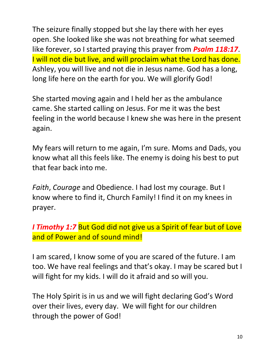The seizure finally stopped but she lay there with her eyes open. She looked like she was not breathing for what seemed like forever, so I started praying this prayer from *Psalm 118:17*. I will not die but live, and will proclaim what the Lord has done. Ashley, you will live and not die in Jesus name. God has a long, long life here on the earth for you. We will glorify God!

She started moving again and I held her as the ambulance came. She started calling on Jesus. For me it was the best feeling in the world because I knew she was here in the present again.

My fears will return to me again, I'm sure. Moms and Dads, you know what all this feels like. The enemy is doing his best to put that fear back into me.

*Faith*, *Courage* and Obedience. I had lost my courage. But I know where to find it, Church Family! I find it on my knees in prayer.

*I Timothy 1:7* But God did not give us a Spirit of fear but of Love and of Power and of sound mind!

I am scared, I know some of you are scared of the future. I am too. We have real feelings and that's okay. I may be scared but I will fight for my kids. I will do it afraid and so will you.

The Holy Spirit is in us and we will fight declaring God's Word over their lives, every day. We will fight for our children through the power of God!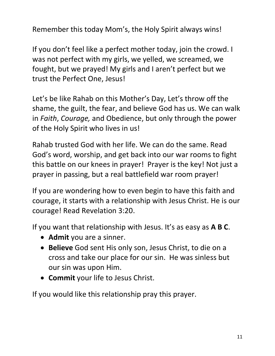Remember this today Mom's, the Holy Spirit always wins!

If you don't feel like a perfect mother today, join the crowd. I was not perfect with my girls, we yelled, we screamed, we fought, but we prayed! My girls and I aren't perfect but we trust the Perfect One, Jesus!

Let's be like Rahab on this Mother's Day, Let's throw off the shame, the guilt, the fear, and believe God has us. We can walk in *Faith*, *Courage,* and Obedience, but only through the power of the Holy Spirit who lives in us!

Rahab trusted God with her life. We can do the same. Read God's word, worship, and get back into our war rooms to fight this battle on our knees in prayer! Prayer is the key! Not just a prayer in passing, but a real battlefield war room prayer!

If you are wondering how to even begin to have this faith and courage, it starts with a relationship with Jesus Christ. He is our courage! Read Revelation 3:20.

If you want that relationship with Jesus. It's as easy as **A B C**.

- **Admit** you are a sinner.
- **Believe** God sent His only son, Jesus Christ, to die on a cross and take our place for our sin. He was sinless but our sin was upon Him.
- **Commit** your life to Jesus Christ.

If you would like this relationship pray this prayer.